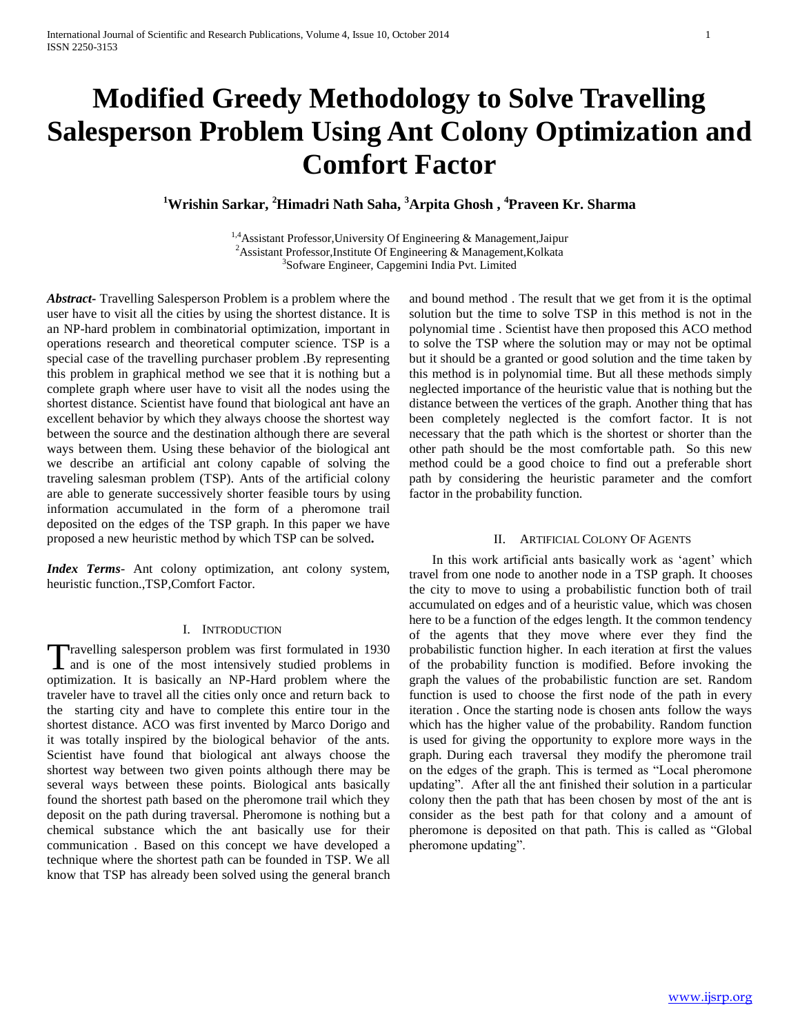# **Modified Greedy Methodology to Solve Travelling Salesperson Problem Using Ant Colony Optimization and Comfort Factor**

**<sup>1</sup>Wrishin Sarkar, <sup>2</sup>Himadri Nath Saha, <sup>3</sup>Arpita Ghosh , <sup>4</sup>Praveen Kr. Sharma**

<sup>1,4</sup>Assistant Professor, University Of Engineering & Management, Jaipur <sup>2</sup>Assistant Professor, Institute Of Engineering & Management, Kolkata 3 Sofware Engineer, Capgemini India Pvt. Limited

*Abstract***-** Travelling Salesperson Problem is a problem where the user have to visit all the cities by using the shortest distance. It is an NP-hard problem in combinatorial optimization, important in operations research and theoretical computer science. TSP is a special case of the travelling purchaser problem .By representing this problem in graphical method we see that it is nothing but a complete graph where user have to visit all the nodes using the shortest distance. Scientist have found that biological ant have an excellent behavior by which they always choose the shortest way between the source and the destination although there are several ways between them. Using these behavior of the biological ant we describe an artificial ant colony capable of solving the traveling salesman problem (TSP). Ants of the artificial colony are able to generate successively shorter feasible tours by using information accumulated in the form of a pheromone trail deposited on the edges of the TSP graph. In this paper we have proposed a new heuristic method by which TSP can be solved*.*

*Index Terms*- Ant colony optimization, ant colony system, heuristic function.,TSP,Comfort Factor.

# I. INTRODUCTION

ravelling salesperson problem was first formulated in 1930 Travelling salesperson problem was first formulated in 1930 and is one of the most intensively studied problems in optimization. It is basically an NP-Hard problem where the traveler have to travel all the cities only once and return back to the starting city and have to complete this entire tour in the shortest distance. ACO was first invented by Marco Dorigo and it was totally inspired by the biological behavior of the ants. Scientist have found that biological ant always choose the shortest way between two given points although there may be several ways between these points. Biological ants basically found the shortest path based on the pheromone trail which they deposit on the path during traversal. Pheromone is nothing but a chemical substance which the ant basically use for their communication . Based on this concept we have developed a technique where the shortest path can be founded in TSP. We all know that TSP has already been solved using the general branch

and bound method . The result that we get from it is the optimal solution but the time to solve TSP in this method is not in the polynomial time . Scientist have then proposed this ACO method to solve the TSP where the solution may or may not be optimal but it should be a granted or good solution and the time taken by this method is in polynomial time. But all these methods simply neglected importance of the heuristic value that is nothing but the distance between the vertices of the graph. Another thing that has been completely neglected is the comfort factor. It is not necessary that the path which is the shortest or shorter than the other path should be the most comfortable path. So this new method could be a good choice to find out a preferable short path by considering the heuristic parameter and the comfort factor in the probability function.

#### II. ARTIFICIAL COLONY OF AGENTS

In this work artificial ants basically work as 'agent' which travel from one node to another node in a TSP graph. It chooses the city to move to using a probabilistic function both of trail accumulated on edges and of a heuristic value, which was chosen here to be a function of the edges length. It the common tendency of the agents that they move where ever they find the probabilistic function higher. In each iteration at first the values of the probability function is modified. Before invoking the graph the values of the probabilistic function are set. Random function is used to choose the first node of the path in every iteration . Once the starting node is chosen ants follow the ways which has the higher value of the probability. Random function is used for giving the opportunity to explore more ways in the graph. During each traversal they modify the pheromone trail on the edges of the graph. This is termed as "Local pheromone updating". After all the ant finished their solution in a particular colony then the path that has been chosen by most of the ant is consider as the best path for that colony and a amount of pheromone is deposited on that path. This is called as "Global pheromone updating".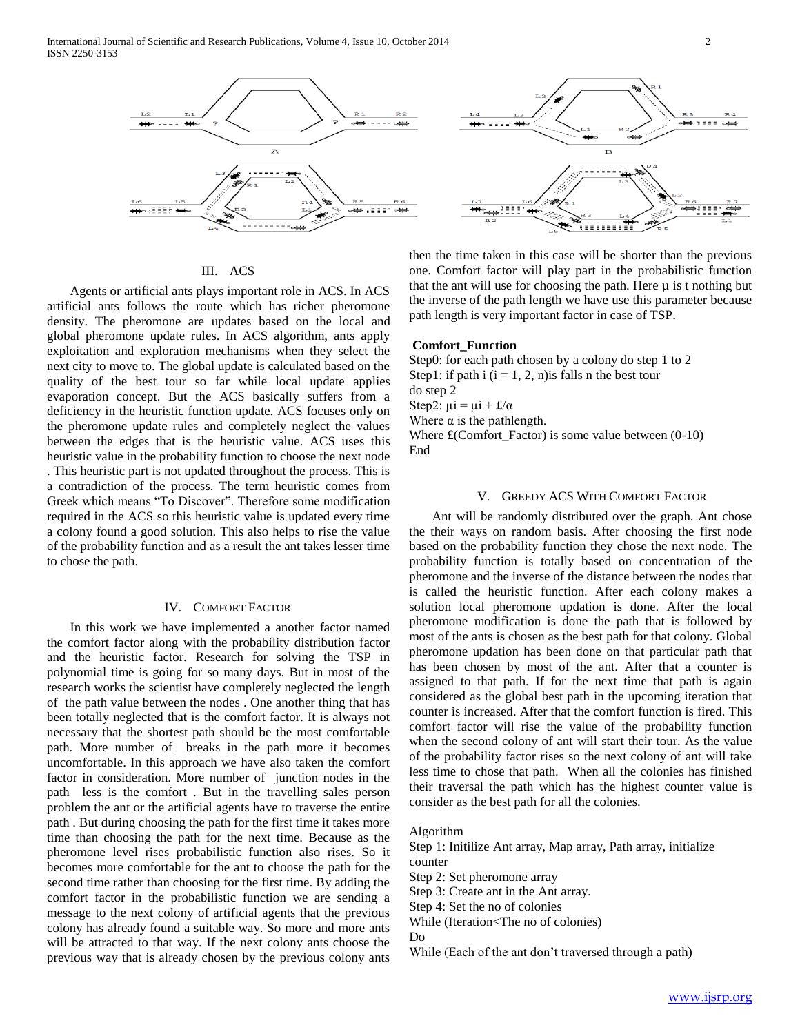

## III. ACS

 Agents or artificial ants plays important role in ACS. In ACS artificial ants follows the route which has richer pheromone density. The pheromone are updates based on the local and global pheromone update rules. In ACS algorithm, ants apply exploitation and exploration mechanisms when they select the next city to move to. The global update is calculated based on the quality of the best tour so far while local update applies evaporation concept. But the ACS basically suffers from a deficiency in the heuristic function update. ACS focuses only on the pheromone update rules and completely neglect the values between the edges that is the heuristic value. ACS uses this heuristic value in the probability function to choose the next node . This heuristic part is not updated throughout the process. This is a contradiction of the process. The term heuristic comes from Greek which means "To Discover". Therefore some modification required in the ACS so this heuristic value is updated every time a colony found a good solution. This also helps to rise the value of the probability function and as a result the ant takes lesser time to chose the path.

# IV. COMFORT FACTOR

 In this work we have implemented a another factor named the comfort factor along with the probability distribution factor and the heuristic factor. Research for solving the TSP in polynomial time is going for so many days. But in most of the research works the scientist have completely neglected the length of the path value between the nodes . One another thing that has been totally neglected that is the comfort factor. It is always not necessary that the shortest path should be the most comfortable path. More number of breaks in the path more it becomes uncomfortable. In this approach we have also taken the comfort factor in consideration. More number of junction nodes in the path less is the comfort . But in the travelling sales person problem the ant or the artificial agents have to traverse the entire path . But during choosing the path for the first time it takes more time than choosing the path for the next time. Because as the pheromone level rises probabilistic function also rises. So it becomes more comfortable for the ant to choose the path for the second time rather than choosing for the first time. By adding the comfort factor in the probabilistic function we are sending a message to the next colony of artificial agents that the previous colony has already found a suitable way. So more and more ants will be attracted to that way. If the next colony ants choose the previous way that is already chosen by the previous colony ants



then the time taken in this case will be shorter than the previous one. Comfort factor will play part in the probabilistic function that the ant will use for choosing the path. Here  $\mu$  is t nothing but the inverse of the path length we have use this parameter because path length is very important factor in case of TSP.

#### **Comfort\_Function**

End

Step0: for each path chosen by a colony do step 1 to 2 Step1: if path i  $(i = 1, 2, n)$  is falls n the best tour do step 2 Step2:  $\mu i = \mu i + \frac{\mathbf{f}}{\alpha}$ Where  $\alpha$  is the pathlength. Where £(Comfort\_Factor) is some value between (0-10)

# V. GREEDY ACS WITH COMFORT FACTOR

 Ant will be randomly distributed over the graph. Ant chose the their ways on random basis. After choosing the first node based on the probability function they chose the next node. The probability function is totally based on concentration of the pheromone and the inverse of the distance between the nodes that is called the heuristic function. After each colony makes a solution local pheromone updation is done. After the local pheromone modification is done the path that is followed by most of the ants is chosen as the best path for that colony. Global pheromone updation has been done on that particular path that has been chosen by most of the ant. After that a counter is assigned to that path. If for the next time that path is again considered as the global best path in the upcoming iteration that counter is increased. After that the comfort function is fired. This comfort factor will rise the value of the probability function when the second colony of ant will start their tour. As the value of the probability factor rises so the next colony of ant will take less time to chose that path. When all the colonies has finished their traversal the path which has the highest counter value is consider as the best path for all the colonies.

# Algorithm

Step 1: Initilize Ant array, Map array, Path array, initialize counter

Step 2: Set pheromone array

Step 3: Create ant in the Ant array.

Step 4: Set the no of colonies

- While (Iteration<The no of colonies)
- Do

While (Each of the ant don"t traversed through a path)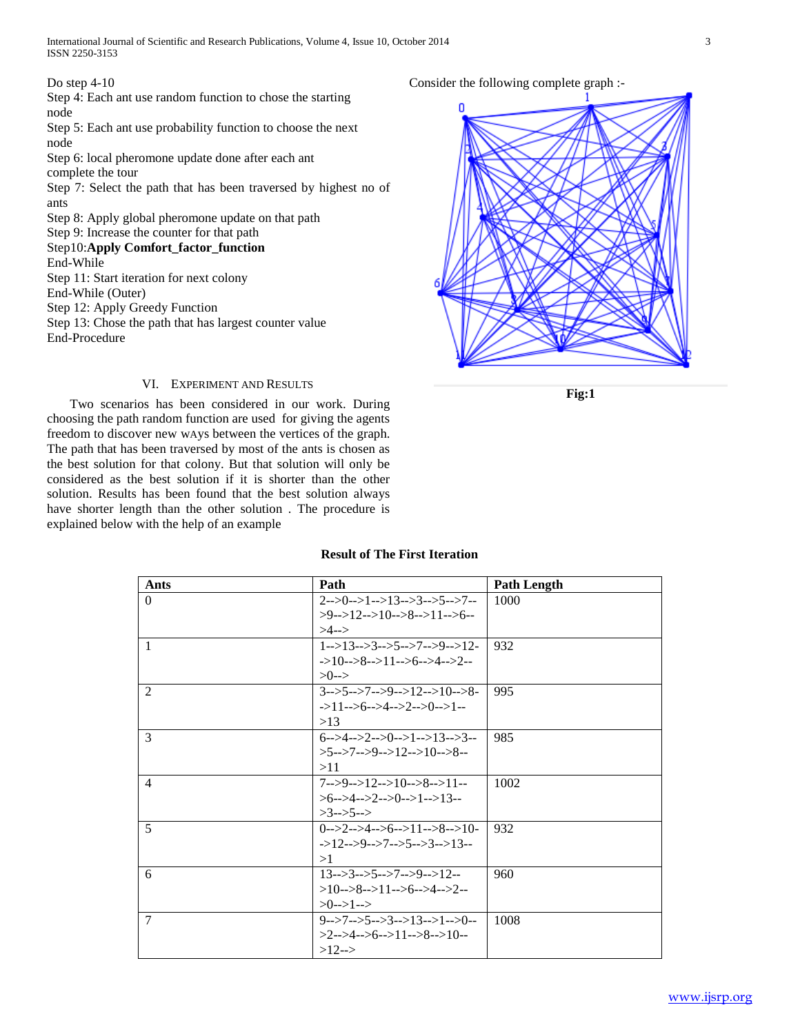International Journal of Scientific and Research Publications, Volume 4, Issue 10, October 2014 3 ISSN 2250-3153

Do step 4-10

Step 4: Each ant use random function to chose the starting node

Step 5: Each ant use probability function to choose the next node

Step 6: local pheromone update done after each ant complete the tour

Step 7: Select the path that has been traversed by highest no of ants

Step 8: Apply global pheromone update on that path

Step 9: Increase the counter for that path

# Step10:**Apply Comfort\_factor\_function**

End-While

Step 11: Start iteration for next colony

End-While (Outer)

Step 12: Apply Greedy Function

Step 13: Chose the path that has largest counter value End-Procedure

# VI. EXPERIMENT AND RESULTS

 Two scenarios has been considered in our work. During choosing the path random function are used for giving the agents freedom to discover new wAys between the vertices of the graph. The path that has been traversed by most of the ants is chosen as the best solution for that colony. But that solution will only be considered as the best solution if it is shorter than the other solution. Results has been found that the best solution always have shorter length than the other solution . The procedure is explained below with the help of an example

# Consider the following complete graph :-





# **Result of The First Iteration**

| Ants           | Path                                                                                                 | <b>Path Length</b> |
|----------------|------------------------------------------------------------------------------------------------------|--------------------|
| $\Omega$       | $2 \rightarrow 0 \rightarrow 1 \rightarrow 13 \rightarrow 3 \rightarrow 5 \rightarrow 7 \rightarrow$ | 1000               |
|                | $>9-12-10-8-11-6-$                                                                                   |                    |
|                | $>4-$                                                                                                |                    |
| $\overline{1}$ | $1--13--3--5--7--9--12-$                                                                             | 932                |
|                | $-10-28-211-26-24-22-$                                                                               |                    |
|                | $>0--$                                                                                               |                    |
| $\mathfrak{D}$ | $3--5--7--9--12--10--8-$                                                                             | 995                |
|                | $-11--6--2--2--0--1-$                                                                                |                    |
|                | >13                                                                                                  |                    |
| 3              | $6 \rightarrow 4 \rightarrow 2 \rightarrow 0 \rightarrow 1 \rightarrow 13 \rightarrow 3 \rightarrow$ | 985                |
|                | $>5--7--9--12--10--8--$                                                                              |                    |
|                | >11                                                                                                  |                    |
| $\overline{4}$ | $7 - 9 - 12 - 10 - 8 - 11 -$                                                                         | 1002               |
|                | $>6 \rightarrow 4 \rightarrow 2 \rightarrow 0 \rightarrow 1 \rightarrow 13 \rightarrow$              |                    |
|                | $>3-5-5$                                                                                             |                    |
| 5              | $0 \rightarrow 2 \rightarrow 4 \rightarrow 6 \rightarrow 11 \rightarrow 8 \rightarrow 10$            | 932                |
|                | $-512-59-57-55-53-513-$                                                                              |                    |
|                | >1                                                                                                   |                    |
| 6              | $13--3--5--7--9--12--$                                                                               | 960                |
|                | $>10$ -- $>8$ -- $>11$ -- $>6$ -- $>4$ -- $>2$ --                                                    |                    |
|                | $>0$ -->1-->                                                                                         |                    |
| $\tau$         | $9 \rightarrow 7 \rightarrow 5 \rightarrow 3 \rightarrow 13 \rightarrow 1 \rightarrow 0 \rightarrow$ | 1008               |
|                | $>2--24--56--11--8--10--$                                                                            |                    |
|                | $>12-->$                                                                                             |                    |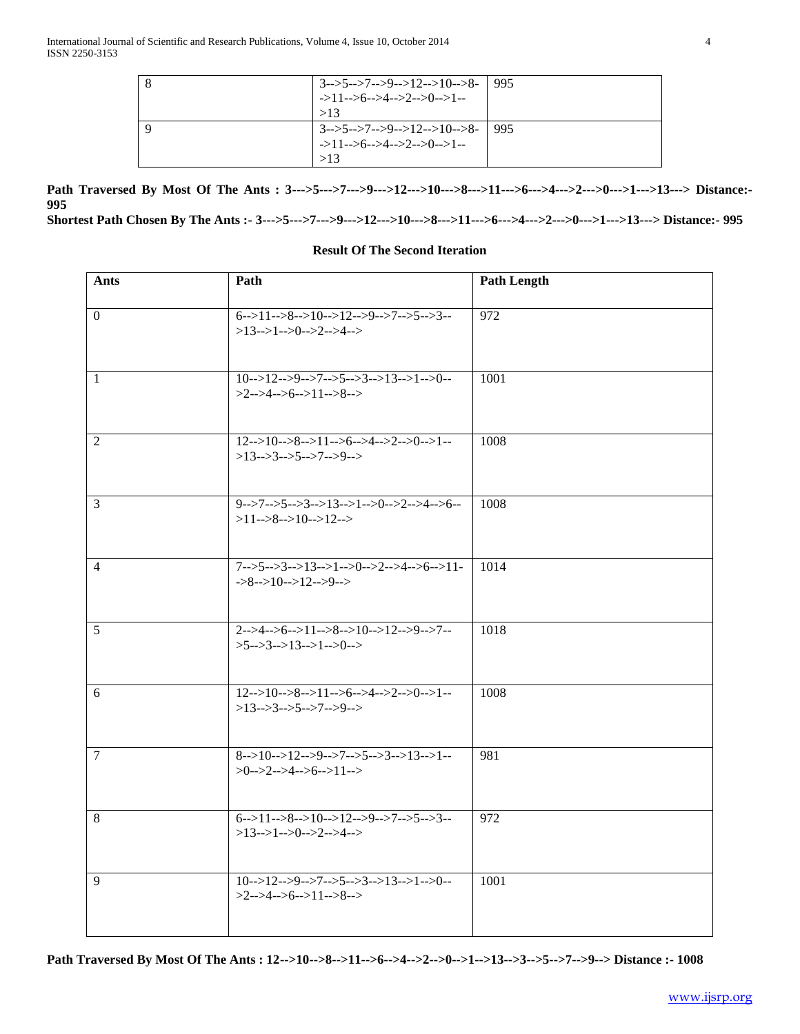| $3 \rightarrow 5 \rightarrow 7 \rightarrow 9 \rightarrow 12 \rightarrow 10 \rightarrow 8 \cdot$ 995 |  |
|-----------------------------------------------------------------------------------------------------|--|
| $\rightarrow$ 11-->6-->4-->2-->0-->1--                                                              |  |
| >13                                                                                                 |  |
| $3 \rightarrow 5 \rightarrow 7 \rightarrow 9 \rightarrow 12 \rightarrow 10 \rightarrow 8 \cdot$ 995 |  |
| $\rightarrow$ 11-->6-->4-->2-->0-->1--                                                              |  |
| >13                                                                                                 |  |

**Path Traversed By Most Of The Ants : 3--->5--->7--->9--->12--->10--->8--->11--->6--->4--->2--->0--->1--->13---> Distance:- 995**

**Shortest Path Chosen By The Ants :- 3--->5--->7--->9--->12--->10--->8--->11--->6--->4--->2--->0--->1--->13---> Distance:- 995**

# **Result Of The Second Iteration**

| Ants           | Path                                                                                                                                                                                                            | <b>Path Length</b> |
|----------------|-----------------------------------------------------------------------------------------------------------------------------------------------------------------------------------------------------------------|--------------------|
| $\mathbf{0}$   | $6 \rightarrow 11 \rightarrow 8 \rightarrow 10 \rightarrow 12 \rightarrow 9 \rightarrow 7 \rightarrow 5 \rightarrow 3 \rightarrow$<br>$>13-1--1$ - $>0-2-2-3$                                                   | 972                |
| 1              | $10 \rightarrow 12 \rightarrow 9 \rightarrow 7 \rightarrow 5 \rightarrow 3 \rightarrow 13 \rightarrow 1 \rightarrow 0 \rightarrow$<br>$>2--24->6->11->8->$                                                      | 1001               |
| $\overline{2}$ | $12-->10-->8-->11->6->4->2->0->1--$<br>$>13-3-5-5-7-9-5$                                                                                                                                                        | 1008               |
| $\overline{3}$ | $9 \rightarrow 7 \rightarrow 5 \rightarrow 3 \rightarrow 13 \rightarrow 1 \rightarrow 0 \rightarrow 2 \rightarrow 4 \rightarrow 6 \rightarrow$<br>$>11--8--10--12--$                                            | 1008               |
| $\overline{4}$ | $7 - 5 - 3 - 13 - 1 - 0 - 2 - 4 - 6 - 11 -$<br>$-8-10-12-9-8$                                                                                                                                                   | 1014               |
| 5              | $2 \rightarrow 4 \rightarrow 6 \rightarrow 11 \rightarrow 8 \rightarrow 10 \rightarrow 12 \rightarrow 9 \rightarrow 7 \rightarrow$<br>$>5 \rightarrow 3 \rightarrow 13 \rightarrow 1 \rightarrow 0 \rightarrow$ | 1018               |
| 6              | $12-->10->8->11->6->4->2->0->1-$<br>$>13-53-5-7-9-5$                                                                                                                                                            | 1008               |
| $\tau$         | $8 \rightarrow 10 \rightarrow 12 \rightarrow 9 \rightarrow 7 \rightarrow 5 \rightarrow 3 \rightarrow 13 \rightarrow 1 \rightarrow$<br>$>0$ -->2-->4-->6-->11-->                                                 | 981                |
| 8              | $6 \rightarrow 11 \rightarrow 8 \rightarrow 10 \rightarrow 12 \rightarrow 9 \rightarrow 7 \rightarrow 5 \rightarrow 3 \rightarrow$<br>$>13-1--0-2-2-4-2$                                                        | 972                |
| 9              | $10 \rightarrow 12 \rightarrow 9 \rightarrow 7 \rightarrow 5 \rightarrow 3 \rightarrow 13 \rightarrow 1 \rightarrow 0 \rightarrow$<br>$>2--24--56--11--8--$                                                     | 1001               |

**Path Traversed By Most Of The Ants : 12-->10-->8-->11-->6-->4-->2-->0-->1-->13-->3-->5-->7-->9--> Distance :- 1008**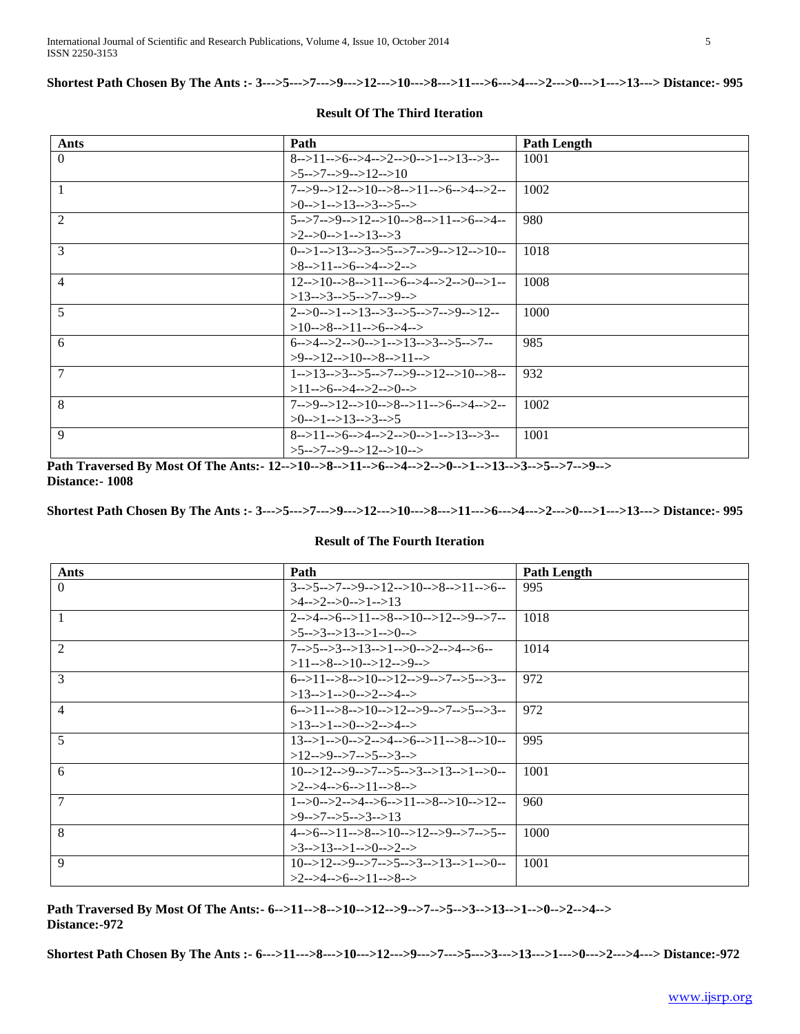**Shortest Path Chosen By The Ants :- 3--->5--->7--->9--->12--->10--->8--->11--->6--->4--->2--->0--->1--->13---> Distance:- 995**

| Ants           | Path                                                                                                                               | Path Length |
|----------------|------------------------------------------------------------------------------------------------------------------------------------|-------------|
| $\Omega$       | $8 \rightarrow 11 \rightarrow 6 \rightarrow 4 \rightarrow 2 \rightarrow 0 \rightarrow 1 \rightarrow 13 \rightarrow 3 \rightarrow$  | 1001        |
|                | $>5$ -- $>7$ -- $>9$ -- $>12$ -- $>10$                                                                                             |             |
| $\overline{1}$ | $7 - > - > 12 - > 10 - > - > 11 - > 6 - > 4 - > 2 -$                                                                               | 1002        |
|                | $>0 \rightarrow 1 \rightarrow 13 \rightarrow 3 \rightarrow 5 \rightarrow$                                                          |             |
| 2              | $5 - 27 - 9 - 12 - 10 - 8 - 11 - 6 - 4 - 1$                                                                                        | 980         |
|                | $>2--20->1--213->3$                                                                                                                |             |
| $\mathcal{E}$  | $0 \rightarrow 1 \rightarrow 13 \rightarrow 3 \rightarrow 5 \rightarrow 7 \rightarrow 9 \rightarrow 12 \rightarrow 10 \rightarrow$ | 1018        |
|                | $>8-11-6-2-2-2$                                                                                                                    |             |
| $\overline{4}$ | $12-->10-->8-->11-->6-->4->2-->0->1--$                                                                                             | 1008        |
|                | $>13-3-5-5-7-9-$                                                                                                                   |             |
| $\overline{5}$ | $2 \rightarrow 0 \rightarrow 1 \rightarrow 13 \rightarrow 3 \rightarrow 5 \rightarrow 7 \rightarrow 9 \rightarrow 12 \rightarrow$  | 1000        |
|                | $>10\rightarrow8\rightarrow11\rightarrow6\rightarrow4\rightarrow$                                                                  |             |
| 6              | $6 \rightarrow 4 \rightarrow 2 \rightarrow 0 \rightarrow 1 \rightarrow 13 \rightarrow 3 \rightarrow 5 \rightarrow 7 \rightarrow$   | 985         |
|                | $>9-12-10-8-11-$                                                                                                                   |             |
| $\overline{7}$ | $1--13--3--5--7--9--12--10--8--$                                                                                                   | 932         |
|                | $>11--56--2--2--0--$                                                                                                               |             |
| $\overline{8}$ | $7 - >9 - >12 - >10 - >8 - >11 - >6 - >4 - >2 -$                                                                                   | 1002        |
|                | $>0$ -->1-->13-->3-->5                                                                                                             |             |
| $\overline{9}$ | $8 \rightarrow 11 \rightarrow 6 \rightarrow 4 \rightarrow 2 \rightarrow 0 \rightarrow 1 \rightarrow 13 \rightarrow 3 \rightarrow$  | 1001        |
|                | $>5 \rightarrow 7 \rightarrow 9 \rightarrow 12 \rightarrow 10 \rightarrow$                                                         |             |

# **Result Of The Third Iteration**

**Path Traversed By Most Of The Ants:- 12-->10-->8-->11-->6-->4-->2-->0-->1-->13-->3-->5-->7-->9--> Distance:- 1008**

**Shortest Path Chosen By The Ants :- 3--->5--->7--->9--->12--->10--->8--->11--->6--->4--->2--->0--->1--->13---> Distance:- 995**

# **Result of The Fourth Iteration**

| Ants           | Path                                                                                                                               | <b>Path Length</b> |
|----------------|------------------------------------------------------------------------------------------------------------------------------------|--------------------|
| $\Omega$       | $3 \rightarrow 5 \rightarrow 7 \rightarrow 9 \rightarrow 12 \rightarrow 10 \rightarrow 8 \rightarrow 11 \rightarrow 6 \rightarrow$ | 995                |
|                | $>4-2-2-1$                                                                                                                         |                    |
|                | $2 \rightarrow 4 \rightarrow 6 \rightarrow 11 \rightarrow 8 \rightarrow 10 \rightarrow 12 \rightarrow 9 \rightarrow 7 \rightarrow$ | 1018               |
|                | $>5 \rightarrow 3 \rightarrow 13 \rightarrow 1 \rightarrow 0 \rightarrow$                                                          |                    |
| $\overline{2}$ | $7 - 5 - 3 - 3 - 13 - 1 - 1 - 0 - 2 - 3 - 4 - 6 - 6$                                                                               | 1014               |
|                | $>11--8--10--12--9--$                                                                                                              |                    |
| 3              | $6 \rightarrow 11 \rightarrow 8 \rightarrow 10 \rightarrow 12 \rightarrow 9 \rightarrow 7 \rightarrow 5 \rightarrow 3 \rightarrow$ | 972                |
|                | $>13-1--0-2-2-4-$                                                                                                                  |                    |
| 4              | $6 \rightarrow 11 \rightarrow 8 \rightarrow 10 \rightarrow 12 \rightarrow 9 \rightarrow 7 \rightarrow 5 \rightarrow 3 \rightarrow$ | 972                |
|                | $>13-1-1-1-2-2-3-1$                                                                                                                |                    |
| 5              | $13 \rightarrow 1 \rightarrow 0 \rightarrow 2 \rightarrow 4 \rightarrow 6 \rightarrow 11 \rightarrow 8 \rightarrow 10 \rightarrow$ | 995                |
|                | $>12--9--7--5--3--$                                                                                                                |                    |
| 6              | $10 \rightarrow 12 \rightarrow 9 \rightarrow 7 \rightarrow 5 \rightarrow 3 \rightarrow 13 \rightarrow 1 \rightarrow 0 \rightarrow$ | 1001               |
|                | $>2-->4-->6-->11--8-->$                                                                                                            |                    |
| $\overline{7}$ | $1 - >0$ -->2-->4-->6-->11-->8-->10-->12--                                                                                         | 960                |
|                | $>9$ -- $>7$ -- $>5$ -- $>3$ -- $>13$                                                                                              |                    |
| 8              | $4-->6-->11-->8-->10->12->9->7->5--$                                                                                               | 1000               |
|                | $>3-13-1-1-1-2$                                                                                                                    |                    |
| 9              | $10 \rightarrow 12 \rightarrow 9 \rightarrow 7 \rightarrow 5 \rightarrow 3 \rightarrow 13 \rightarrow 1 \rightarrow 0 \rightarrow$ | 1001               |
|                | $>2--24--56--11--8--$                                                                                                              |                    |

**Path Traversed By Most Of The Ants:- 6-->11-->8-->10-->12-->9-->7-->5-->3-->13-->1-->0-->2-->4--> Distance:-972**

**Shortest Path Chosen By The Ants :- 6--->11--->8--->10--->12--->9--->7--->5--->3--->13--->1--->0--->2--->4---> Distance:-972**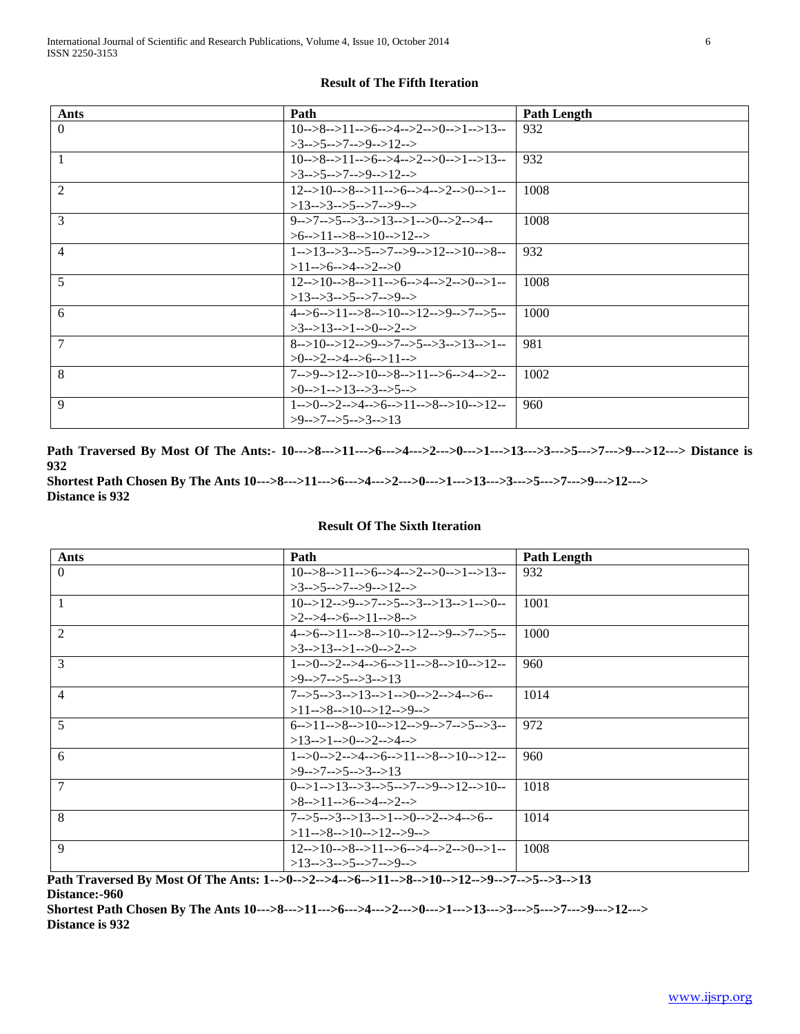# **Result of The Fifth Iteration**

| Ants           | Path                                                                                                                               | <b>Path Length</b> |
|----------------|------------------------------------------------------------------------------------------------------------------------------------|--------------------|
| $\Omega$       | $10 \rightarrow 8 \rightarrow 11 \rightarrow 6 \rightarrow 4 \rightarrow 2 \rightarrow 0 \rightarrow 1 \rightarrow 13 \rightarrow$ | 932                |
|                | $>3-5-7-9-12-$                                                                                                                     |                    |
|                | $10 \rightarrow 8 \rightarrow 11 \rightarrow 6 \rightarrow 4 \rightarrow 2 \rightarrow 0 \rightarrow 1 \rightarrow 13 \rightarrow$ | 932                |
|                | $>3-5-7-9-12-$                                                                                                                     |                    |
| 2              | $12--10--8--11--6--34--2--0--1--$                                                                                                  | 1008               |
|                | $>13--3--5--7--9--$                                                                                                                |                    |
| 3              | $9 \rightarrow 7 \rightarrow 5 \rightarrow 3 \rightarrow 13 \rightarrow 1 \rightarrow 0 \rightarrow 2 \rightarrow 4 \rightarrow$   | 1008               |
|                | $>6 \rightarrow 11 \rightarrow 8 \rightarrow 10 \rightarrow 12 \rightarrow$                                                        |                    |
| 4              | $1 - > 13 - > 3 - > 5 - > 7 - > 9 - > 12 - > 10 - > 8 -$                                                                           | 932                |
|                | $>11-->6-->4-->2-->0$                                                                                                              |                    |
| 5              | $12-->10-->8-->11-->6-->4->2-->0-->1--$                                                                                            | 1008               |
|                | $>13-5-5-7-9-$                                                                                                                     |                    |
| 6              | $4 \rightarrow 6 \rightarrow 11 \rightarrow 8 \rightarrow 10 \rightarrow 12 \rightarrow 9 \rightarrow 7 \rightarrow 5 \rightarrow$ | 1000               |
|                | $>3-13-1-1-0-2-2$                                                                                                                  |                    |
| $\overline{7}$ | $8 \rightarrow 10 \rightarrow 12 \rightarrow 9 \rightarrow 7 \rightarrow 5 \rightarrow 3 \rightarrow 13 \rightarrow 1 \rightarrow$ | 981                |
|                | $>0$ -->2-->4-->6-->11-->                                                                                                          |                    |
| 8              | $7 - 9 - 12 - 10 - 8 - 11 - 6 - 4 - 2 - 1$                                                                                         | 1002               |
|                | $>0 \rightarrow 1 \rightarrow 13 \rightarrow 3 \rightarrow 5 \rightarrow$                                                          |                    |
| 9              | $1 - >0$ -->2-->4-->6-->11-->8-->10-->12--                                                                                         | 960                |
|                | $>9$ -- $>7$ -- $>5$ -- $>3$ -- $>13$                                                                                              |                    |

**Path Traversed By Most Of The Ants:- 10--->8--->11--->6--->4--->2--->0--->1--->13--->3--->5--->7--->9--->12---> Distance is 932**

**Shortest Path Chosen By The Ants 10--->8--->11--->6--->4--->2--->0--->1--->13--->3--->5--->7--->9--->12---> Distance is 932**

# **Result Of The Sixth Iteration**

| Ants           | Path                                                                                                                                             | <b>Path Length</b> |
|----------------|--------------------------------------------------------------------------------------------------------------------------------------------------|--------------------|
| $\Omega$       | $10 \rightarrow 8 \rightarrow 11 \rightarrow 6 \rightarrow 4 \rightarrow 2 \rightarrow 0 \rightarrow 1 \rightarrow 13 \rightarrow$               | 932                |
|                | $>3-5-7-7-9-12-$                                                                                                                                 |                    |
|                | $10 \rightarrow 12 \rightarrow 9 \rightarrow 7 \rightarrow 5 \rightarrow 3 \rightarrow 13 \rightarrow 1 \rightarrow 0 \rightarrow$               | 1001               |
|                | $>2-->4-->6-->11--8-->$                                                                                                                          |                    |
| $\overline{2}$ | $4 \rightarrow 6 \rightarrow 11 \rightarrow 8 \rightarrow 10 \rightarrow 12 \rightarrow 9 \rightarrow 7 \rightarrow 5 \rightarrow$               | 1000               |
|                | $>3-13-1-1-0-2-2$                                                                                                                                |                    |
| 3              | $1 - 50 - 2 - 34 - 56 - 511 - 8 - 10 - 512 -$                                                                                                    | 960                |
|                | $>9 \rightarrow 7 \rightarrow 5 \rightarrow 3 \rightarrow 13$                                                                                    |                    |
| 4              | $7 \rightarrow 5 \rightarrow 3 \rightarrow 13 \rightarrow 1 \rightarrow 0 \rightarrow 2 \rightarrow 4 \rightarrow 6 \rightarrow$                 | 1014               |
|                | $>11--8--10--12--9--$                                                                                                                            |                    |
| 5              | $6 \rightarrow 11 \rightarrow 8 \rightarrow 10 \rightarrow 12 \rightarrow 9 \rightarrow 7 \rightarrow 5 \rightarrow 3 \rightarrow$               | 972                |
|                | $>13-1--1$ -- $>0--2--1$                                                                                                                         |                    |
| 6              | $1 - 50 - 2 - 34 - 56 - 511 - 8 - 10 - 512 -$                                                                                                    | 960                |
|                | $>9-27-25-23-213$                                                                                                                                |                    |
| $\overline{7}$ | $0 \rightarrow 1 \rightarrow 13 \rightarrow 3 \rightarrow 5 \rightarrow 5 \rightarrow 7 \rightarrow 9 \rightarrow 12 \rightarrow 10 \rightarrow$ | 1018               |
|                | $>8-11-6-2-2-2$                                                                                                                                  |                    |
| 8              | $7 - 5 - 3 - 3 - 13 - 1 - 1 - 0 - 2 - 3 - 4 - 6 - 1$                                                                                             | 1014               |
|                | $>11--8--10--12--9--$                                                                                                                            |                    |
| 9              | $12--10--8--11--6--2--2--0--1--$                                                                                                                 | 1008               |
|                | $>13--3--5--7--9--$                                                                                                                              |                    |

**Path Traversed By Most Of The Ants: 1-->0-->2-->4-->6-->11-->8-->10-->12-->9-->7-->5-->3-->13 Distance:-960**

**Shortest Path Chosen By The Ants 10--->8--->11--->6--->4--->2--->0--->1--->13--->3--->5--->7--->9--->12---> Distance is 932**